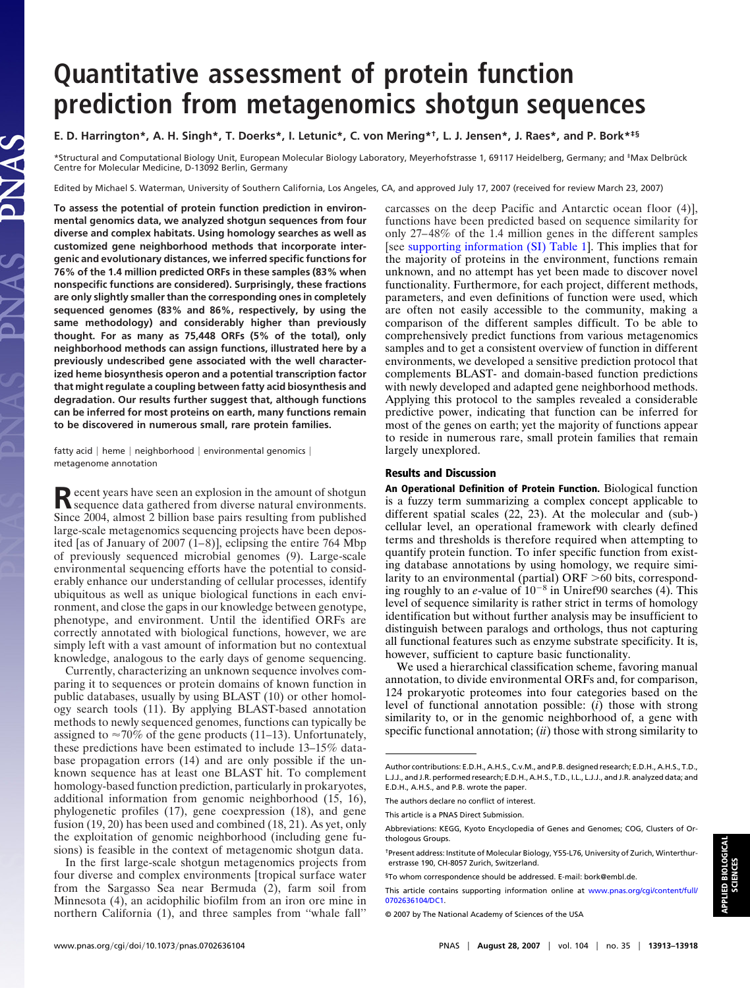## **Quantitative assessment of protein function prediction from metagenomics shotgun sequences**

## **E. D. Harrington\*, A. H. Singh\*, T. Doerks\*, I. Letunic\*, C. von Mering\*†, L. J. Jensen\*, J. Raes\*, and P. Bork\*‡§**

\*Structural and Computational Biology Unit, European Molecular Biology Laboratory, Meyerhofstrasse 1, 69117 Heidelberg, Germany; and ‡Max Delbrück Centre for Molecular Medicine, D-13092 Berlin, Germany

Edited by Michael S. Waterman, University of Southern California, Los Angeles, CA, and approved July 17, 2007 (received for review March 23, 2007)

**To assess the potential of protein function prediction in environmental genomics data, we analyzed shotgun sequences from four diverse and complex habitats. Using homology searches as well as customized gene neighborhood methods that incorporate intergenic and evolutionary distances, we inferred specific functions for 76% of the 1.4 million predicted ORFs in these samples (83% when nonspecific functions are considered). Surprisingly, these fractions are only slightly smaller than the corresponding ones in completely sequenced genomes (83% and 86%, respectively, by using the same methodology) and considerably higher than previously thought. For as many as 75,448 ORFs (5% of the total), only neighborhood methods can assign functions, illustrated here by a previously undescribed gene associated with the well characterized heme biosynthesis operon and a potential transcription factor that might regulate a coupling between fatty acid biosynthesis and degradation. Our results further suggest that, although functions can be inferred for most proteins on earth, many functions remain to be discovered in numerous small, rare protein families.**

fatty acid  $|$  heme  $|$  neighborhood  $|$  environmental genomics  $|$ metagenome annotation

Recent years have seen an explosion in the amount of shotgun<br>sequence data gathered from diverse natural environments. Since 2004, almost 2 billion base pairs resulting from published large-scale metagenomics sequencing projects have been deposited [as of January of 2007  $(1-8)$ ], eclipsing the entire 764 Mbp of previously sequenced microbial genomes (9). Large-scale environmental sequencing efforts have the potential to considerably enhance our understanding of cellular processes, identify ubiquitous as well as unique biological functions in each environment, and close the gaps in our knowledge between genotype, phenotype, and environment. Until the identified ORFs are correctly annotated with biological functions, however, we are simply left with a vast amount of information but no contextual knowledge, analogous to the early days of genome sequencing.

Currently, characterizing an unknown sequence involves comparing it to sequences or protein domains of known function in public databases, usually by using BLAST (10) or other homology search tools (11). By applying BLAST-based annotation methods to newly sequenced genomes, functions can typically be assigned to  $\approx 70\%$  of the gene products (11–13). Unfortunately, these predictions have been estimated to include 13–15% database propagation errors (14) and are only possible if the unknown sequence has at least one BLAST hit. To complement homology-based function prediction, particularly in prokaryotes, additional information from genomic neighborhood (15, 16), phylogenetic profiles (17), gene coexpression (18), and gene fusion (19, 20) has been used and combined (18, 21). As yet, only the exploitation of genomic neighborhood (including gene fusions) is feasible in the context of metagenomic shotgun data.

In the first large-scale shotgun metagenomics projects from four diverse and complex environments [tropical surface water from the Sargasso Sea near Bermuda (2), farm soil from Minnesota (4), an acidophilic biofilm from an iron ore mine in northern California (1), and three samples from ''whale fall''

carcasses on the deep Pacific and Antarctic ocean floor (4)], functions have been predicted based on sequence similarity for only 27–48% of the 1.4 million genes in the different samples [see [supporting information \(SI\) Table 1\]](http://www.pnas.org/cgi/content/full/0702636104/DC1). This implies that for the majority of proteins in the environment, functions remain unknown, and no attempt has yet been made to discover novel functionality. Furthermore, for each project, different methods, parameters, and even definitions of function were used, which are often not easily accessible to the community, making a comparison of the different samples difficult. To be able to comprehensively predict functions from various metagenomics samples and to get a consistent overview of function in different environments, we developed a sensitive prediction protocol that complements BLAST- and domain-based function predictions with newly developed and adapted gene neighborhood methods. Applying this protocol to the samples revealed a considerable predictive power, indicating that function can be inferred for most of the genes on earth; yet the majority of functions appear to reside in numerous rare, small protein families that remain largely unexplored.

## **Results and Discussion**

**An Operational Definition of Protein Function.** Biological function is a fuzzy term summarizing a complex concept applicable to different spatial scales (22, 23). At the molecular and (sub-) cellular level, an operational framework with clearly defined terms and thresholds is therefore required when attempting to quantify protein function. To infer specific function from existing database annotations by using homology, we require similarity to an environmental (partial) ORF >60 bits, corresponding roughly to an *e*-value of  $10^{-8}$  in Uniref90 searches (4). This level of sequence similarity is rather strict in terms of homology identification but without further analysis may be insufficient to distinguish between paralogs and orthologs, thus not capturing all functional features such as enzyme substrate specificity. It is, however, sufficient to capture basic functionality.

We used a hierarchical classification scheme, favoring manual annotation, to divide environmental ORFs and, for comparison, 124 prokaryotic proteomes into four categories based on the level of functional annotation possible: (*i*) those with strong similarity to, or in the genomic neighborhood of, a gene with specific functional annotation; (*ii*) those with strong similarity to

Author contributions: E.D.H., A.H.S., C.v.M., and P.B. designed research; E.D.H., A.H.S., T.D., L.J.J., and J.R. performed research; E.D.H., A.H.S., T.D., I.L., L.J.J., and J.R. analyzed data; and E.D.H., A.H.S., and P.B. wrote the paper.

The authors declare no conflict of interest.

This article is a PNAS Direct Submission.

Abbreviations: KEGG, Kyoto Encyclopedia of Genes and Genomes; COG, Clusters of Orthologous Groups.

<sup>†</sup>Present address: Institute of Molecular Biology, Y55-L76, University of Zurich, Winterthurerstrasse 190, CH-8057 Zurich, Switzerland.

<sup>§</sup>To whom correspondence should be addressed. E-mail: bork@embl.de.

This article contains supporting information online at [www.pnas.org/cgi/content/full/](http://www.pnas.org/cgi/content/full/0702636104/DC1) [0702636104/DC1.](http://www.pnas.org/cgi/content/full/0702636104/DC1)

<sup>© 2007</sup> by The National Academy of Sciences of the USA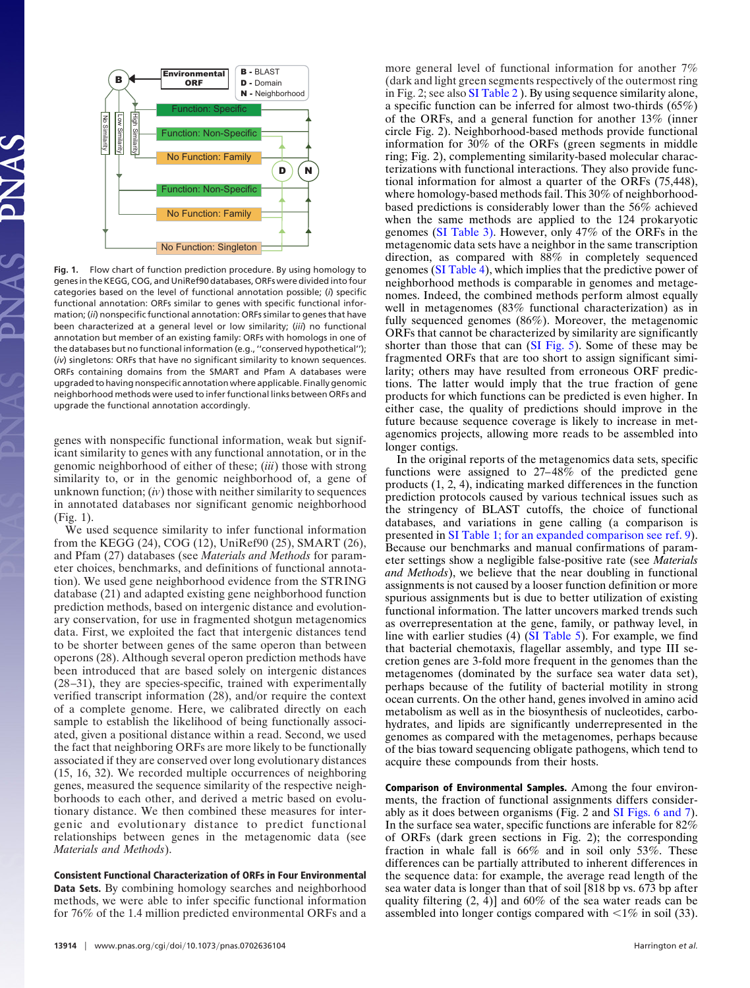

**Fig. 1.** Flow chart of function prediction procedure. By using homology to genes in the KEGG, COG, and UniRef90 databases, ORFs were divided into four categories based on the level of functional annotation possible; (*i*) specific functional annotation: ORFs similar to genes with specific functional information; (*ii*) nonspecific functional annotation: ORFs similar to genes that have been characterized at a general level or low similarity; (*iii*) no functional annotation but member of an existing family: ORFs with homologs in one of the databases but no functional information (e.g., ''conserved hypothetical''); (*iv*) singletons: ORFs that have no significant similarity to known sequences. ORFs containing domains from the SMART and Pfam A databases were upgraded to having nonspecific annotation where applicable. Finally genomic neighborhood methods were used to infer functional links between ORFs and upgrade the functional annotation accordingly.

genes with nonspecific functional information, weak but significant similarity to genes with any functional annotation, or in the genomic neighborhood of either of these; (*iii*) those with strong similarity to, or in the genomic neighborhood of, a gene of unknown function; (*iv*) those with neither similarity to sequences in annotated databases nor significant genomic neighborhood (Fig. 1).

We used sequence similarity to infer functional information from the KEGG (24), COG (12), UniRef90 (25), SMART (26), and Pfam (27) databases (see *Materials and Methods* for parameter choices, benchmarks, and definitions of functional annotation). We used gene neighborhood evidence from the STRING database (21) and adapted existing gene neighborhood function prediction methods, based on intergenic distance and evolutionary conservation, for use in fragmented shotgun metagenomics data. First, we exploited the fact that intergenic distances tend to be shorter between genes of the same operon than between operons (28). Although several operon prediction methods have been introduced that are based solely on intergenic distances (28–31), they are species-specific, trained with experimentally verified transcript information (28), and/or require the context of a complete genome. Here, we calibrated directly on each sample to establish the likelihood of being functionally associated, given a positional distance within a read. Second, we used the fact that neighboring ORFs are more likely to be functionally associated if they are conserved over long evolutionary distances (15, 16, 32). We recorded multiple occurrences of neighboring genes, measured the sequence similarity of the respective neighborhoods to each other, and derived a metric based on evolutionary distance. We then combined these measures for intergenic and evolutionary distance to predict functional relationships between genes in the metagenomic data (see *Materials and Methods*).

**Consistent Functional Characterization of ORFs in Four Environmental Data Sets.** By combining homology searches and neighborhood methods, we were able to infer specific functional information for 76% of the 1.4 million predicted environmental ORFs and a

more general level of functional information for another 7% (dark and light green segments respectively of the outermost ring in Fig. 2; see also [SI Table 2](http://www.pnas.org/cgi/content/full/0702636104/DC1) ). By using sequence similarity alone, a specific function can be inferred for almost two-thirds (65%) of the ORFs, and a general function for another 13% (inner circle Fig. 2). Neighborhood-based methods provide functional information for 30% of the ORFs (green segments in middle ring; Fig. 2), complementing similarity-based molecular characterizations with functional interactions. They also provide functional information for almost a quarter of the ORFs (75,448), where homology-based methods fail. This 30% of neighborhoodbased predictions is considerably lower than the 56% achieved when the same methods are applied to the 124 prokaryotic genomes [\(SI Table 3\).](http://www.pnas.org/cgi/content/full/0702636104/DC1) However, only 47% of the ORFs in the metagenomic data sets have a neighbor in the same transcription direction, as compared with 88% in completely sequenced genomes [\(SI Table 4\)](http://www.pnas.org/cgi/content/full/0702636104/DC1), which implies that the predictive power of neighborhood methods is comparable in genomes and metagenomes. Indeed, the combined methods perform almost equally well in metagenomes (83% functional characterization) as in fully sequenced genomes (86%). Moreover, the metagenomic ORFs that cannot be characterized by similarity are significantly shorter than those that can [\(SI Fig. 5\)](http://www.pnas.org/cgi/content/full/0702636104/DC1). Some of these may be fragmented ORFs that are too short to assign significant similarity; others may have resulted from erroneous ORF predictions. The latter would imply that the true fraction of gene products for which functions can be predicted is even higher. In either case, the quality of predictions should improve in the future because sequence coverage is likely to increase in metagenomics projects, allowing more reads to be assembled into longer contigs.

In the original reports of the metagenomics data sets, specific functions were assigned to 27–48% of the predicted gene products (1, 2, 4), indicating marked differences in the function prediction protocols caused by various technical issues such as the stringency of BLAST cutoffs, the choice of functional databases, and variations in gene calling (a comparison is presented in [SI Table 1; for an expanded comparison see ref. 9\)](http://www.pnas.org/cgi/content/full/0702636104/DC1). Because our benchmarks and manual confirmations of parameter settings show a negligible false-positive rate (see *Materials and Methods*), we believe that the near doubling in functional assignments is not caused by a looser function definition or more spurious assignments but is due to better utilization of existing functional information. The latter uncovers marked trends such as overrepresentation at the gene, family, or pathway level, in line with earlier studies (4) [\(SI Table 5\)](http://www.pnas.org/cgi/content/full/0702636104/DC1). For example, we find that bacterial chemotaxis, flagellar assembly, and type III secretion genes are 3-fold more frequent in the genomes than the metagenomes (dominated by the surface sea water data set), perhaps because of the futility of bacterial motility in strong ocean currents. On the other hand, genes involved in amino acid metabolism as well as in the biosynthesis of nucleotides, carbohydrates, and lipids are significantly underrepresented in the genomes as compared with the metagenomes, perhaps because of the bias toward sequencing obligate pathogens, which tend to acquire these compounds from their hosts.

**Comparison of Environmental Samples.** Among the four environments, the fraction of functional assignments differs considerably as it does between organisms (Fig. 2 and [SI Figs. 6 and 7\)](http://www.pnas.org/cgi/content/full/0702636104/DC1). In the surface sea water, specific functions are inferable for 82% of ORFs (dark green sections in Fig. 2); the corresponding fraction in whale fall is 66% and in soil only 53%. These differences can be partially attributed to inherent differences in the sequence data: for example, the average read length of the sea water data is longer than that of soil [818 bp vs. 673 bp after quality filtering (2, 4)] and 60% of the sea water reads can be assembled into longer contigs compared with  $\leq 1\%$  in soil (33).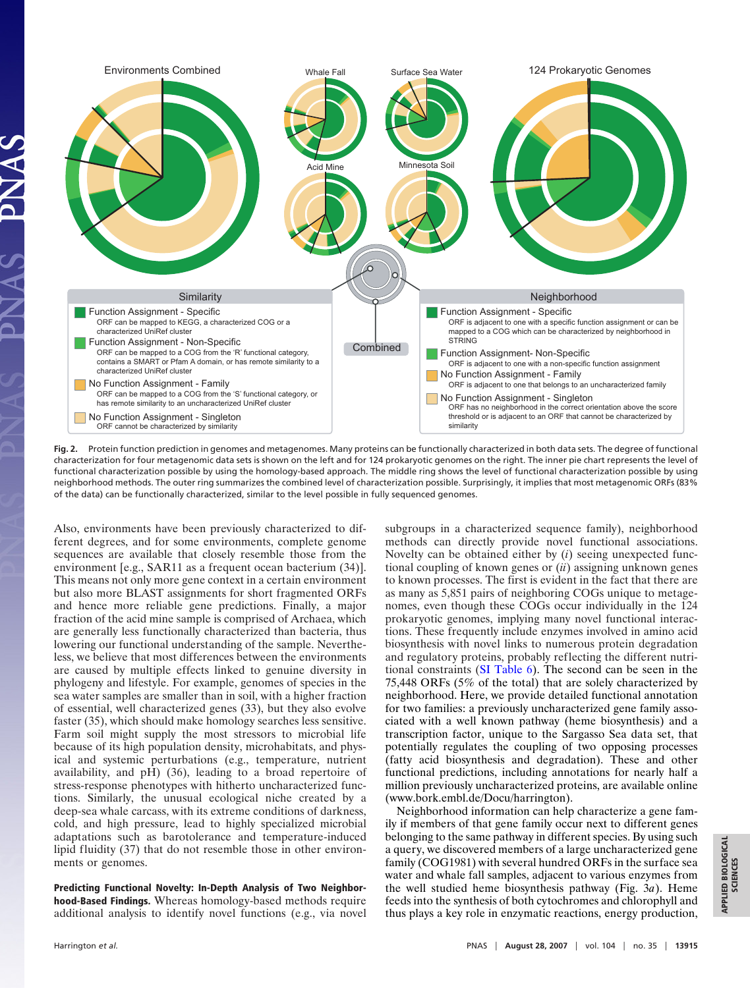

**Fig. 2.** Protein function prediction in genomes and metagenomes. Many proteins can be functionally characterized in both data sets. The degree of functional characterization for four metagenomic data sets is shown on the left and for 124 prokaryotic genomes on the right. The inner pie chart represents the level of functional characterization possible by using the homology-based approach. The middle ring shows the level of functional characterization possible by using neighborhood methods. The outer ring summarizes the combined level of characterization possible. Surprisingly, it implies that most metagenomic ORFs (83% of the data) can be functionally characterized, similar to the level possible in fully sequenced genomes.

Also, environments have been previously characterized to different degrees, and for some environments, complete genome sequences are available that closely resemble those from the environment [e.g., SAR11 as a frequent ocean bacterium (34)]. This means not only more gene context in a certain environment but also more BLAST assignments for short fragmented ORFs and hence more reliable gene predictions. Finally, a major fraction of the acid mine sample is comprised of Archaea, which are generally less functionally characterized than bacteria, thus lowering our functional understanding of the sample. Nevertheless, we believe that most differences between the environments are caused by multiple effects linked to genuine diversity in phylogeny and lifestyle. For example, genomes of species in the sea water samples are smaller than in soil, with a higher fraction of essential, well characterized genes (33), but they also evolve faster (35), which should make homology searches less sensitive. Farm soil might supply the most stressors to microbial life because of its high population density, microhabitats, and physical and systemic perturbations (e.g., temperature, nutrient availability, and pH) (36), leading to a broad repertoire of stress-response phenotypes with hitherto uncharacterized functions. Similarly, the unusual ecological niche created by a deep-sea whale carcass, with its extreme conditions of darkness, cold, and high pressure, lead to highly specialized microbial adaptations such as barotolerance and temperature-induced lipid fluidity (37) that do not resemble those in other environments or genomes.

**Predicting Functional Novelty: In-Depth Analysis of Two Neighborhood-Based Findings.** Whereas homology-based methods require additional analysis to identify novel functions (e.g., via novel subgroups in a characterized sequence family), neighborhood methods can directly provide novel functional associations. Novelty can be obtained either by (*i*) seeing unexpected functional coupling of known genes or (*ii*) assigning unknown genes to known processes. The first is evident in the fact that there are as many as 5,851 pairs of neighboring COGs unique to metagenomes, even though these COGs occur individually in the 124 prokaryotic genomes, implying many novel functional interactions. These frequently include enzymes involved in amino acid biosynthesis with novel links to numerous protein degradation and regulatory proteins, probably reflecting the different nutritional constraints [\(SI Table 6\)](http://www.pnas.org/cgi/content/full/0702636104/DC1). The second can be seen in the 75,448 ORFs (5% of the total) that are solely characterized by neighborhood. Here, we provide detailed functional annotation for two families: a previously uncharacterized gene family associated with a well known pathway (heme biosynthesis) and a transcription factor, unique to the Sargasso Sea data set, that potentially regulates the coupling of two opposing processes (fatty acid biosynthesis and degradation). These and other functional predictions, including annotations for nearly half a million previously uncharacterized proteins, are available online (www.bork.embl.de/Docu/harrington).

Neighborhood information can help characterize a gene family if members of that gene family occur next to different genes belonging to the same pathway in different species. By using such a query, we discovered members of a large uncharacterized gene family (COG1981) with several hundred ORFs in the surface sea water and whale fall samples, adjacent to various enzymes from the well studied heme biosynthesis pathway (Fig. 3*a*). Heme feeds into the synthesis of both cytochromes and chlorophyll and thus plays a key role in enzymatic reactions, energy production,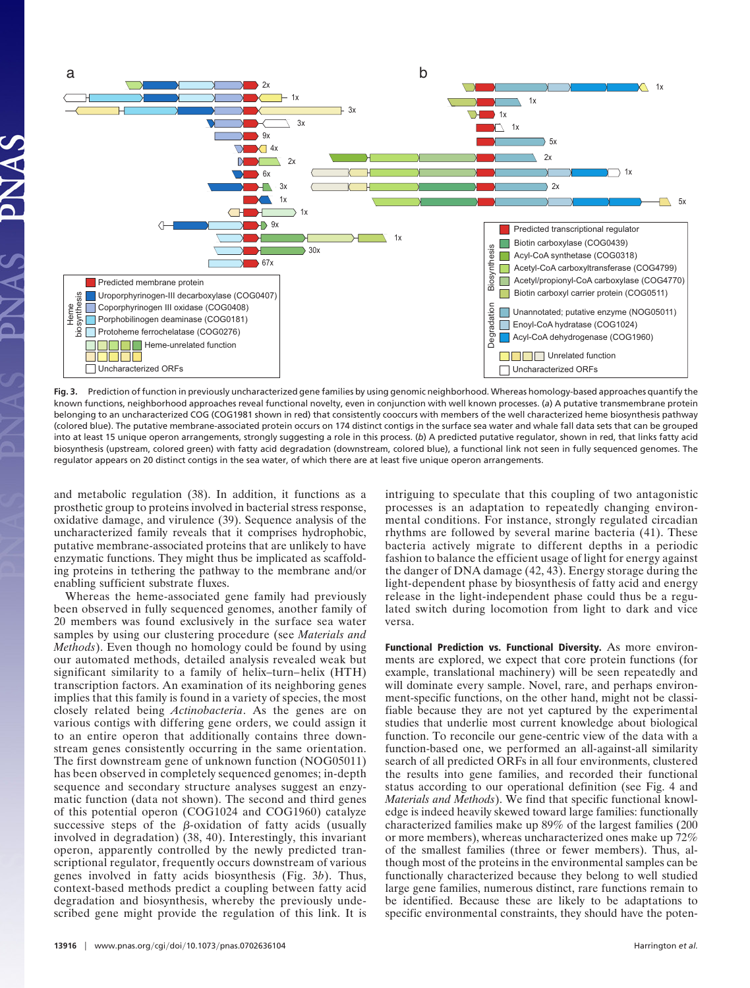

**Fig. 3.** Prediction of function in previously uncharacterized gene families by using genomic neighborhood. Whereas homology-based approaches quantify the known functions, neighborhood approaches reveal functional novelty, even in conjunction with well known processes. (*a*) A putative transmembrane protein belonging to an uncharacterized COG (COG1981 shown in red) that consistently cooccurs with members of the well characterized heme biosynthesis pathway (colored blue). The putative membrane-associated protein occurs on 174 distinct contigs in the surface sea water and whale fall data sets that can be grouped into at least 15 unique operon arrangements, strongly suggesting a role in this process. (*b*) A predicted putative regulator, shown in red, that links fatty acid biosynthesis (upstream, colored green) with fatty acid degradation (downstream, colored blue), a functional link not seen in fully sequenced genomes. The regulator appears on 20 distinct contigs in the sea water, of which there are at least five unique operon arrangements.

and metabolic regulation (38). In addition, it functions as a prosthetic group to proteins involved in bacterial stress response, oxidative damage, and virulence (39). Sequence analysis of the uncharacterized family reveals that it comprises hydrophobic, putative membrane-associated proteins that are unlikely to have enzymatic functions. They might thus be implicated as scaffolding proteins in tethering the pathway to the membrane and/or enabling sufficient substrate fluxes.

Whereas the heme-associated gene family had previously been observed in fully sequenced genomes, another family of 20 members was found exclusively in the surface sea water samples by using our clustering procedure (see *Materials and Methods*). Even though no homology could be found by using our automated methods, detailed analysis revealed weak but significant similarity to a family of helix–turn–helix (HTH) transcription factors. An examination of its neighboring genes implies that this family is found in a variety of species, the most closely related being *Actinobacteria*. As the genes are on various contigs with differing gene orders, we could assign it to an entire operon that additionally contains three downstream genes consistently occurring in the same orientation. The first downstream gene of unknown function (NOG05011) has been observed in completely sequenced genomes; in-depth sequence and secondary structure analyses suggest an enzymatic function (data not shown). The second and third genes of this potential operon (COG1024 and COG1960) catalyze successive steps of the  $\beta$ -oxidation of fatty acids (usually involved in degradation) (38, 40). Interestingly, this invariant operon, apparently controlled by the newly predicted transcriptional regulator, frequently occurs downstream of various genes involved in fatty acids biosynthesis (Fig. 3*b*). Thus, context-based methods predict a coupling between fatty acid degradation and biosynthesis, whereby the previously undescribed gene might provide the regulation of this link. It is

intriguing to speculate that this coupling of two antagonistic processes is an adaptation to repeatedly changing environmental conditions. For instance, strongly regulated circadian rhythms are followed by several marine bacteria (41). These bacteria actively migrate to different depths in a periodic fashion to balance the efficient usage of light for energy against the danger of DNA damage (42, 43). Energy storage during the light-dependent phase by biosynthesis of fatty acid and energy release in the light-independent phase could thus be a regulated switch during locomotion from light to dark and vice versa.

**Functional Prediction vs. Functional Diversity.** As more environments are explored, we expect that core protein functions (for example, translational machinery) will be seen repeatedly and will dominate every sample. Novel, rare, and perhaps environment-specific functions, on the other hand, might not be classifiable because they are not yet captured by the experimental studies that underlie most current knowledge about biological function. To reconcile our gene-centric view of the data with a function-based one, we performed an all-against-all similarity search of all predicted ORFs in all four environments, clustered the results into gene families, and recorded their functional status according to our operational definition (see Fig. 4 and *Materials and Methods*). We find that specific functional knowledge is indeed heavily skewed toward large families: functionally characterized families make up 89% of the largest families (200 or more members), whereas uncharacterized ones make up 72% of the smallest families (three or fewer members). Thus, although most of the proteins in the environmental samples can be functionally characterized because they belong to well studied large gene families, numerous distinct, rare functions remain to be identified. Because these are likely to be adaptations to specific environmental constraints, they should have the poten-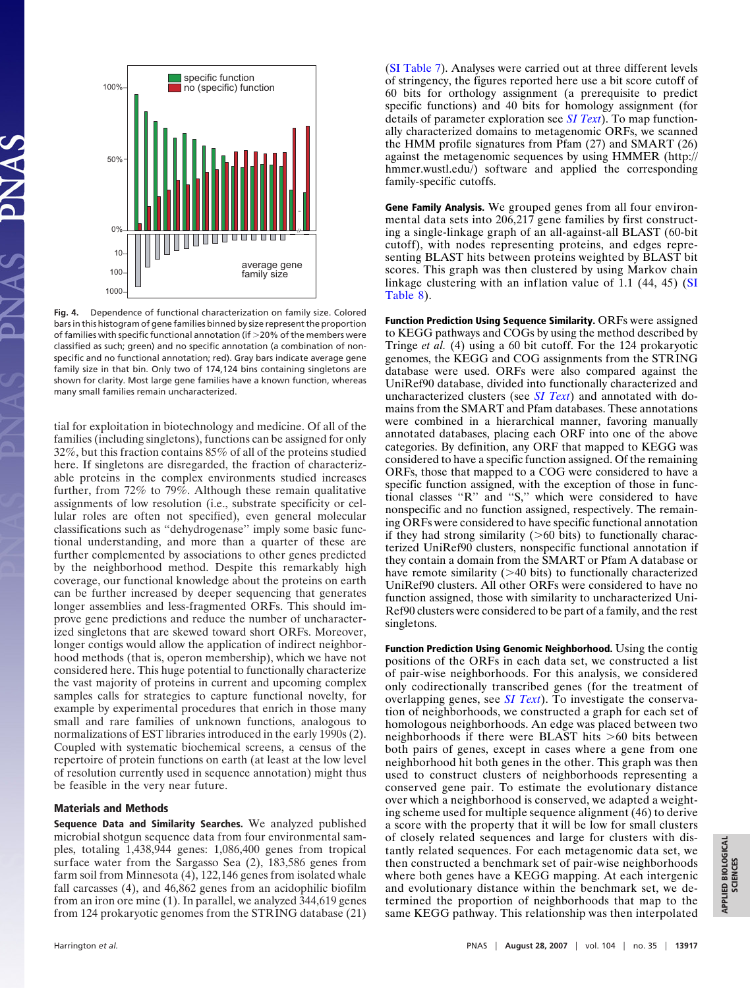

**Fig. 4.** Dependence of functional characterization on family size. Colored bars in this histogram of gene families binned by size represent the proportion of families with specific functional annotation (if  $>$  20% of the members were classified as such; green) and no specific annotation (a combination of nonspecific and no functional annotation; red). Gray bars indicate average gene family size in that bin. Only two of 174,124 bins containing singletons are shown for clarity. Most large gene families have a known function, whereas many small families remain uncharacterized.

tial for exploitation in biotechnology and medicine. Of all of the families (including singletons), functions can be assigned for only 32%, but this fraction contains 85% of all of the proteins studied here. If singletons are disregarded, the fraction of characterizable proteins in the complex environments studied increases further, from 72% to 79%. Although these remain qualitative assignments of low resolution (i.e., substrate specificity or cellular roles are often not specified), even general molecular classifications such as ''dehydrogenase'' imply some basic functional understanding, and more than a quarter of these are further complemented by associations to other genes predicted by the neighborhood method. Despite this remarkably high coverage, our functional knowledge about the proteins on earth can be further increased by deeper sequencing that generates longer assemblies and less-fragmented ORFs. This should improve gene predictions and reduce the number of uncharacterized singletons that are skewed toward short ORFs. Moreover, longer contigs would allow the application of indirect neighborhood methods (that is, operon membership), which we have not considered here. This huge potential to functionally characterize the vast majority of proteins in current and upcoming complex samples calls for strategies to capture functional novelty, for example by experimental procedures that enrich in those many small and rare families of unknown functions, analogous to normalizations of EST libraries introduced in the early 1990s (2). Coupled with systematic biochemical screens, a census of the repertoire of protein functions on earth (at least at the low level of resolution currently used in sequence annotation) might thus be feasible in the very near future.

## **Materials and Methods**

**Sequence Data and Similarity Searches.** We analyzed published microbial shotgun sequence data from four environmental samples, totaling 1,438,944 genes: 1,086,400 genes from tropical surface water from the Sargasso Sea (2), 183,586 genes from farm soil from Minnesota (4), 122,146 genes from isolated whale fall carcasses (4), and 46,862 genes from an acidophilic biofilm from an iron ore mine (1). In parallel, we analyzed 344,619 genes from 124 prokaryotic genomes from the STRING database (21) [\(SI Table 7\)](http://www.pnas.org/cgi/content/full/0702636104/DC1). Analyses were carried out at three different levels of stringency, the figures reported here use a bit score cutoff of 60 bits for orthology assignment (a prerequisite to predict specific functions) and 40 bits for homology assignment (for details of parameter exploration see *[SI Text](http://www.pnas.org/cgi/content/full/0702636104/DC1)*). To map functionally characterized domains to metagenomic ORFs, we scanned the HMM profile signatures from Pfam (27) and SMART (26) against the metagenomic sequences by using HMMER (http:// hmmer.wustl.edu/) software and applied the corresponding family-specific cutoffs.

**Gene Family Analysis.** We grouped genes from all four environmental data sets into 206,217 gene families by first constructing a single-linkage graph of an all-against-all BLAST (60-bit cutoff), with nodes representing proteins, and edges representing BLAST hits between proteins weighted by BLAST bit scores. This graph was then clustered by using Markov chain linkage clustering with an inflation value of 1.1 (44, 45) [\(SI](http://www.pnas.org/cgi/content/full/0702636104/DC1) [Table 8\)](http://www.pnas.org/cgi/content/full/0702636104/DC1).

**Function Prediction Using Sequence Similarity.** ORFs were assigned to KEGG pathways and COGs by using the method described by Tringe *et al.* (4) using a 60 bit cutoff. For the 124 prokaryotic genomes, the KEGG and COG assignments from the STRING database were used. ORFs were also compared against the UniRef90 database, divided into functionally characterized and uncharacterized clusters (see *[SI Text](http://www.pnas.org/cgi/content/full/0702636104/DC1)*) and annotated with domains from the SMART and Pfam databases. These annotations were combined in a hierarchical manner, favoring manually annotated databases, placing each ORF into one of the above categories. By definition, any ORF that mapped to KEGG was considered to have a specific function assigned. Of the remaining ORFs, those that mapped to a COG were considered to have a specific function assigned, with the exception of those in functional classes ''R'' and ''S,'' which were considered to have nonspecific and no function assigned, respectively. The remaining ORFs were considered to have specific functional annotation if they had strong similarity  $($ >60 bits) to functionally characterized UniRef90 clusters, nonspecific functional annotation if they contain a domain from the SMART or Pfam A database or have remote similarity (>40 bits) to functionally characterized UniRef90 clusters. All other ORFs were considered to have no function assigned, those with similarity to uncharacterized Uni-Ref90 clusters were considered to be part of a family, and the rest singletons.

**Function Prediction Using Genomic Neighborhood.** Using the contig positions of the ORFs in each data set, we constructed a list of pair-wise neighborhoods. For this analysis, we considered only codirectionally transcribed genes (for the treatment of overlapping genes, see *[SI Text](http://www.pnas.org/cgi/content/full/0702636104/DC1)*). To investigate the conservation of neighborhoods, we constructed a graph for each set of homologous neighborhoods. An edge was placed between two neighborhoods if there were BLAST hits >60 bits between both pairs of genes, except in cases where a gene from one neighborhood hit both genes in the other. This graph was then used to construct clusters of neighborhoods representing a conserved gene pair. To estimate the evolutionary distance over which a neighborhood is conserved, we adapted a weighting scheme used for multiple sequence alignment (46) to derive a score with the property that it will be low for small clusters of closely related sequences and large for clusters with distantly related sequences. For each metagenomic data set, we then constructed a benchmark set of pair-wise neighborhoods where both genes have a KEGG mapping. At each intergenic and evolutionary distance within the benchmark set, we determined the proportion of neighborhoods that map to the same KEGG pathway. This relationship was then interpolated